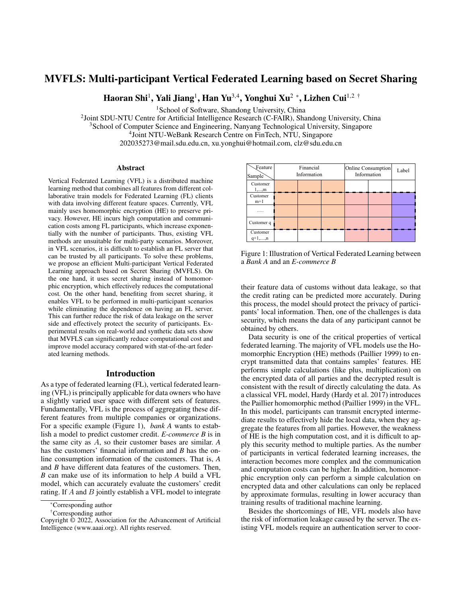# MVFLS: Multi-participant Vertical Federated Learning based on Secret Sharing

Haoran Shi<sup>1</sup>, Yali Jiang<sup>1</sup>, Han Yu<sup>3,4</sup>, Yonghui Xu<sup>2</sup> \*, Lizhen Cui<sup>1,2†</sup>

<sup>1</sup>School of Software, Shandong University, China

<sup>2</sup> Joint SDU-NTU Centre for Artificial Intelligence Research (C-FAIR), Shandong University, China

<sup>3</sup>School of Computer Science and Engineering, Nanyang Technological University, Singapore

4 Joint NTU-WeBank Research Centre on FinTech, NTU, Singapore

202035273@mail.sdu.edu.cn, xu.yonghui@hotmail.com, clz@sdu.edu.cn

#### Abstract

Vertical Federated Learning (VFL) is a distributed machine learning method that combines all features from different collaborative train models for Federated Learning (FL) clients with data involving different feature spaces. Currently, VFL mainly uses homomorphic encryption (HE) to preserve privacy. However, HE incurs high computation and communication costs among FL participants, which increase exponentially with the number of participants. Thus, existing VFL methods are unsuitable for multi-party scenarios. Moreover, in VFL scenarios, it is difficult to establish an FL server that can be trusted by all participants. To solve these problems, we propose an efficient Multi-participant Vertical Federated Learning approach based on Secret Sharing (MVFLS). On the one hand, it uses secret sharing instead of homomorphic encryption, which effectively reduces the computational cost. On the other hand, benefiting from secret sharing, it enables VFL to be performed in multi-participant scenarios while eliminating the dependence on having an FL server. This can further reduce the risk of data leakage on the server side and effectively protect the security of participants. Experimental results on real-world and synthetic data sets show that MVFLS can significantly reduce computational cost and improve model accuracy compared with stat-of-the-art federated learning methods.

# Introduction

As a type of federated learning (FL), vertical federated learning (VFL) is principally applicable for data owners who have a slightly varied user space with different sets of features. Fundamentally, VFL is the process of aggregating these different features from multiple companies or organizations. For a specific example (Figure 1), *bank A* wants to establish a model to predict customer credit. *E-commerce B* is in the same city as A, so their customer bases are similar. *A* has the customers' financial information and *B* has the online consumption information of the customers. That is, *A* and *B* have different data features of the customers. Then, *B* can make use of its information to help *A* build a VFL model, which can accurately evaluate the customers' credit rating. If A and B jointly establish a VFL model to integrate

| Feature<br>Sample            | Financial<br>Information |  | Online Consumption<br>Information |  | Label |  |
|------------------------------|--------------------------|--|-----------------------------------|--|-------|--|
| Customer<br>1,,m             |                          |  |                                   |  |       |  |
| Customer<br>$m+1$            |                          |  |                                   |  |       |  |
|                              |                          |  |                                   |  |       |  |
| Customer q                   |                          |  |                                   |  |       |  |
| Customer<br>$q+1, \ldots, n$ |                          |  |                                   |  |       |  |

Figure 1: Illustration of Vertical Federated Learning between a *Bank A* and an *E-commerce B*

their feature data of customs without data leakage, so that the credit rating can be predicted more accurately. During this process, the model should protect the privacy of participants' local information. Then, one of the challenges is data security, which means the data of any participant cannot be obtained by others.

Data security is one of the critical properties of vertical federated learning. The majority of VFL models use the Homomorphic Encryption (HE) methods (Paillier 1999) to encrypt transmitted data that contains samples' features. HE performs simple calculations (like plus, multiplication) on the encrypted data of all parties and the decrypted result is consistent with the result of directly calculating the data. As a classical VFL model, Hardy (Hardy et al. 2017) introduces the Paillier homomorphic method (Paillier 1999) in the VFL. In this model, participants can transmit encrypted intermediate results to effectively hide the local data, when they aggregate the features from all parties. However, the weakness of HE is the high computation cost, and it is difficult to apply this security method to multiple parties. As the number of participants in vertical federated learning increases, the interaction becomes more complex and the communication and computation costs can be higher. In addition, homomorphic encryption only can perform a simple calculation on encrypted data and other calculations can only be replaced by approximate formulas, resulting in lower accuracy than training results of traditional machine learning.

Besides the shortcomings of HE, VFL models also have the risk of information leakage caused by the server. The existing VFL models require an authentication server to coor-

<sup>\*</sup>Corresponding author

<sup>†</sup>Corresponding author

Copyright © 2022, Association for the Advancement of Artificial Intelligence (www.aaai.org). All rights reserved.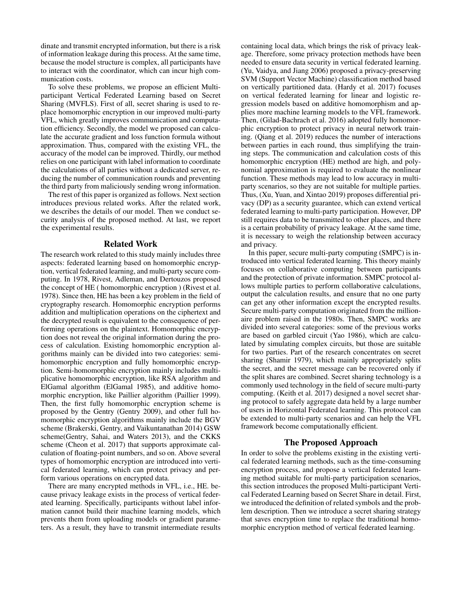dinate and transmit encrypted information, but there is a risk of information leakage during this process. At the same time, because the model structure is complex, all participants have to interact with the coordinator, which can incur high communication costs.

To solve these problems, we propose an efficient Multiparticipant Vertical Federated Learning based on Secret Sharing (MVFLS). First of all, secret sharing is used to replace homomorphic encryption in our improved multi-party VFL, which greatly improves communication and computation efficiency. Secondly, the model we proposed can calculate the accurate gradient and loss function formula without approximation. Thus, compared with the existing VFL, the accuracy of the model can be improved. Thirdly, our method relies on one participant with label information to coordinate the calculations of all parties without a dedicated server, reducing the number of communication rounds and preventing the third party from maliciously sending wrong information.

The rest of this paper is organized as follows. Next section introduces previous related works. After the related work, we describes the details of our model. Then we conduct security analysis of the proposed method. At last, we report the experimental results.

#### Related Work

The research work related to this study mainly includes three aspects: federated learning based on homomorphic encryption, vertical federated learning, and multi-party secure computing. In 1978, Rivest, Adleman, and Dertouzos proposed the concept of HE ( homomorphic encryption ) (Rivest et al. 1978). Since then, HE has been a key problem in the field of cryptography research. Homomorphic encryption performs addition and multiplication operations on the ciphertext and the decrypted result is equivalent to the consequence of performing operations on the plaintext. Homomorphic encryption does not reveal the original information during the process of calculation. Existing homomorphic encryption algorithms mainly can be divided into two categories: semihomomorphic encryption and fully homomorphic encryption. Semi-homomorphic encryption mainly includes multiplicative homomorphic encryption, like RSA algorithm and ElGamal algorithm (ElGamal 1985), and additive homomorphic encryption, like Paillier algorithm (Paillier 1999). Then, the first fully homomorphic encryption scheme is proposed by the Gentry (Gentry 2009), and other full homomorphic encryption algorithms mainly include the BGV scheme (Brakerski, Gentry, and Vaikuntanathan 2014) GSW scheme(Gentry, Sahai, and Waters 2013), and the CKKS scheme (Cheon et al. 2017) that supports approximate calculation of floating-point numbers, and so on. Above several types of homomorphic encryption are introduced into vertical federated learning, which can protect privacy and perform various operations on encrypted data.

There are many encrypted methods in VFL, i.e., HE. because privacy leakage exists in the process of vertical federated learning. Specifically, participants without label information cannot build their machine learning models, which prevents them from uploading models or gradient parameters. As a result, they have to transmit intermediate results

containing local data, which brings the risk of privacy leakage. Therefore, some privacy protection methods have been needed to ensure data security in vertical federated learning. (Yu, Vaidya, and Jiang 2006) proposed a privacy-preserving SVM (Support Vector Machine) classification method based on vertically partitioned data. (Hardy et al. 2017) focuses on vertical federated learning for linear and logistic regression models based on additive homomorphism and applies more machine learning models to the VFL framework. Then, (Gilad-Bachrach et al. 2016) adopted fully homomorphic encryption to protect privacy in neural network training. (Qiang et al. 2019) reduces the number of interactions between parties in each round, thus simplifying the training steps. The communication and calculation costs of this homomorphic encryption (HE) method are high, and polynomial approximation is required to evaluate the nonlinear function. These methods may lead to low accuracy in multiparty scenarios, so they are not suitable for multiple parties. Thus, (Xu, Yuan, and Xintao 2019) proposes differential privacy (DP) as a security guarantee, which can extend vertical federated learning to multi-party participation. However, DP still requires data to be transmitted to other places, and there is a certain probability of privacy leakage. At the same time, it is necessary to weigh the relationship between accuracy and privacy.

In this paper, secure multi-party computing (SMPC) is introduced into vertical federated learning. This theory mainly focuses on collaborative computing between participants and the protection of private information. SMPC protocol allows multiple parties to perform collaborative calculations, output the calculation results, and ensure that no one party can get any other information except the encrypted results. Secure multi-party computation originated from the millionaire problem raised in the 1980s. Then, SMPC works are divided into several categories: some of the previous works are based on garbled circuit (Yao 1986), which are calculated by simulating complex circuits, but those are suitable for two parties. Part of the research concentrates on secret sharing (Shamir 1979), which mainly appropriately splits the secret, and the secret message can be recovered only if the split shares are combined. Secret sharing technology is a commonly used technology in the field of secure multi-party computing. (Keith et al. 2017) designed a novel secret sharing protocol to safely aggregate data held by a large number of users in Horizontal Federated learning. This protocol can be extended to multi-party scenarios and can help the VFL framework become computationally efficient.

#### The Proposed Approach

In order to solve the problems existing in the existing vertical federated learning methods, such as the time-consuming encryption process, and propose a vertical federated learning method suitable for multi-party participation scenarios, this section introduces the proposed Multi-participant Vertical Federated Learning based on Secret Share in detail. First, we introduced the definition of related symbols and the problem description. Then we introduce a secret sharing strategy that saves encryption time to replace the traditional homomorphic encryption method of vertical federated learning.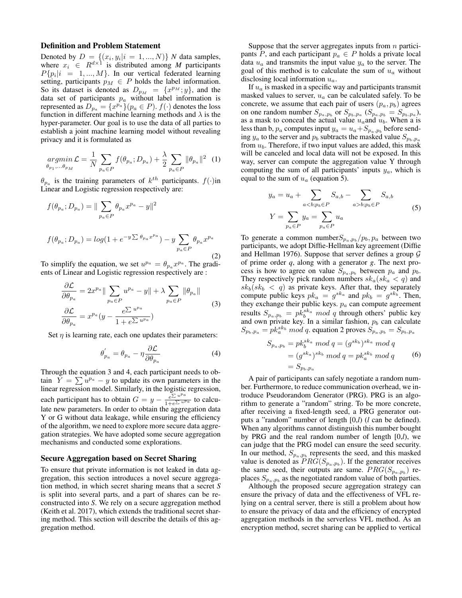#### Definition and Problem Statement

Denoted by  $D = \{(x_i, y_i | i = 1, ..., N)\}\ N$  data samples, where  $x_i \in R^{d \times 1}$  is distributed among M participants  $P{p_i | i = 1, ..., M}$ . In our vertical federated learning setting, participants  $p_M \in P$  holds the label information. So its dataset is denoted as  $D_{p_M} = \{x^{p_M};y\}$ , and the data set of participants  $p_a$  without label information is represented as  $D_{p_a} = \{x^{p_a}\}(p_a \in P)$ .  $f(\cdot)$  denotes the loss function in different machine learning methods and  $\lambda$  is the hyper-parameter. Our goal is to use the data of all parties to establish a joint machine learning model without revealing privacy and it is formulated as

$$
\underset{\theta_{p_1},...,\theta_{p_M}}{\operatorname{argmin}} \mathcal{L} = \frac{1}{N} \sum_{p_a \in P} f(\theta_{p_a}; D_{p_a}) + \frac{\lambda}{2} \sum_{p_a \in P} \|\theta_{p_a}\|^2 \tag{1}
$$

 $\theta_{p_a}$  is the training parameters of  $k^{th}$  participants.  $f(\cdot)$ in Linear and Logistic regression respectively are:

f(θp<sup>a</sup> ; Dp<sup>a</sup> ) = k X pa∈P θp<sup>a</sup> x <sup>p</sup><sup>a</sup> − yk 2 f(θp<sup>a</sup> ; Dp<sup>a</sup> ) = log(1 + e −y P θpa x pa ) − y X pa∈P θp<sup>a</sup> x p<sup>a</sup> (2)

To simplify the equation, we set  $u^{p_a} = \theta_{p_a} x^{p_a}$ . The gradients of Linear and Logistic regression respectively are :

$$
\frac{\partial \mathcal{L}}{\partial \theta_{p_a}} = 2x^{p_a} \|\sum_{p_a \in P} u^{p_a} - y\| + \lambda \sum_{p_a \in P} \|\theta_{p_a}\|
$$
\n
$$
\frac{\partial \mathcal{L}}{\partial \theta_{p_a}} = x^{p_a} (y - \frac{e^{\sum u^{p_a}}}{1 + e^{\sum u^{p_a}}})
$$
\n(3)

Set  $\eta$  is learning rate, each one updates their parameters:

$$
\theta_{p_a}^{'} = \theta_{p_a} - \eta \frac{\partial \mathcal{L}}{\partial \theta_{p_a}} \tag{4}
$$

Through the equation 3 and 4, each participant needs to obtain  $\overline{Y} = \sum u^{p_a} - y$  to update its own parameters in the linear regression model. Similarly, in the logistic regression, each participant has to obtain  $G = y - \frac{e^{\sum u^p a}}{1 + e^{\sum u^p a}}$  $\frac{e^{\epsilon}}{1+e^{\sum u^{p}a}}$  to calculate new parameters. In order to obtain the aggregation data Y or G without data leakage, while ensuring the efficiency of the algorithm, we need to explore more secure data aggregation strategies. We have adopted some secure aggregation mechanisms and conducted some explorations.

#### Secure Aggregation based on Secret Sharing

To ensure that private information is not leaked in data aggregation, this section introduces a novel secure aggregation method, in which secret sharing means that a secret *S* is split into several parts, and a part of shares can be reconstructed into *S*. We rely on a secure aggregation method (Keith et al. 2017), which extends the traditional secret sharing method. This section will describe the details of this aggregation method.

Suppose that the server aggregates inputs from  $n$  participants P, and each participant  $p_a \in P$  holds a private local data  $u_a$  and transmits the input value  $y_a$  to the server. The goal of this method is to calculate the sum of  $u_a$  without disclosing local information  $u_a$ .

If  $u_a$  is masked in a specific way and participants transmit masked values to server,  $u_a$  can be calculated safely. To be concrete, we assume that each pair of users  $(p_a, p_b)$  agrees on one random number  $S_{p_a, p_b}$  or  $S_{p_b, p_a}$   $(S_{p_a, p_b} = S_{p_b, p_a})$ , as a mask to conceal the actual value  $u_a$  and  $u_b$ . When a is less than b,  $p_a$  computes input  $y_a = u_a + S_{p_a, p_b}$  before sending  $y_a$  to the server and  $p_b$  subtracts the masked value  $S_{p_b,p_a}$ from  $u<sub>b</sub>$ . Therefore, if two input values are added, this mask will be canceled and local data will not be exposed. In this way, server can compute the aggregation value Y through computing the sum of all participants' inputs  $y_a$ , which is equal to the sum of  $u_a$  (equation 5).

$$
y_a = u_a + \sum_{a < b; p_b \in P} S_{a,b} - \sum_{a > b; p_b \in P} S_{a,b}
$$
  

$$
Y = \sum_{p_a \in P} y_a = \sum_{p_a \in P} u_a
$$
 (5)

To generate a common number $S_{p_a, p_b}/p_b, p_a$  between two participants, we adopt Diffie-Hellman key agreement (Diffie and Hellman 1976). Suppose that server defines a group  $\mathcal G$ of prime order *q*, along with a generator *g*. The next process is how to agree on value  $S_{p_a, p_b}$  between  $p_a$  and  $p_b$ . They respectively pick random numbers  $sk_a(sk_a < q)$  and  $sk_b(sk_b < q)$  as private keys. After that, they separately compute public keys  $pk_a = g^{sk_a}$  and  $pk_b = g^{sk_b}$ . Then, they exchange their public keys.  $p_a$  can compute agreement results  $S_{p_a, p_b} = p k_b^{s k_a} \mod q$  through others' public key and own private key. In a similar fashion,  $p<sub>b</sub>$  can calculate  $S_{p_b,p_a} = p k_a^{sk_b} \mod q$ . equation 2 proves  $S_{p_a,p_b} = S_{p_b,p_a}$ 

$$
S_{p_a, p_b} = p k_b^{s k_a} \mod q = (g^{s k_b})^{s k_a} \mod q
$$
  
=  $(g^{s k_a})^{s k_b} \mod q = p k_a^{s k_b} \mod q$  (6)  
=  $S_{p_b, p_a}$ 

A pair of participants can safely negotiate a random number. Furthermore, to reduce communication overhead, we introduce Pseudorandom Generator (PRG). PRG is an algorithm to generate a "random" string. To be more concrete, after receiving a fixed-length seed, a PRG generator outputs a "random" number of length [0,*l*) (*l* can be defined). When any algorithms cannot distinguish this number bought by PRG and the real random number of length [0,*l*), we can judge that the PRG model can ensure the seed security. In our method,  $S_{p_a, p_b}$  represents the seed, and this masked value is denoted as  $PRG(S_{p_a, p_b})$ . If the generator receives the same seed, their outputs are same.  $PRG(S_{p_a,p_b})$  replaces  $S_{p_a, p_b}$  as the negotiated random value of both parties.

Although the proposed secure aggregation strategy can ensure the privacy of data and the effectiveness of VFL relying on a central server, there is still a problem about how to ensure the privacy of data and the efficiency of encrypted aggregation methods in the serverless VFL method. As an encryption method, secret sharing can be applied to vertical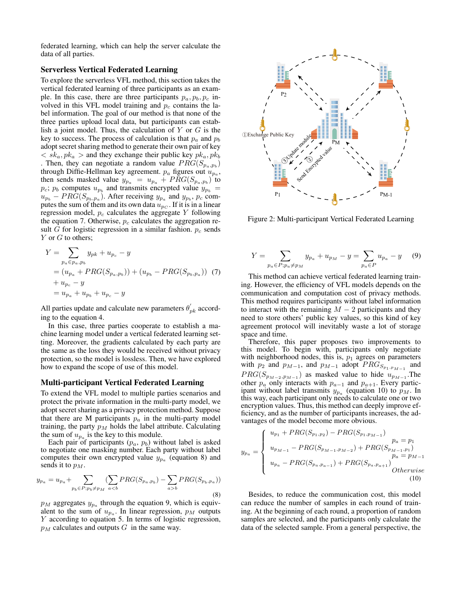federated learning, which can help the server calculate the data of all parties.

# Serverless Vertical Federated Learning

To explore the serverless VFL method, this section takes the vertical federated learning of three participants as an example. In this case, there are three participants  $p_a, p_b, p_c$  involved in this VFL model training and  $p_c$  contains the label information. The goal of our method is that none of the three parties upload local data, but participants can establish a joint model. Thus, the calculation of  $Y$  or  $G$  is the key to success. The process of calculation is that  $p_a$  and  $p_b$ adopt secret sharing method to generate their own pair of key  $\langle s k_a, p k_a \rangle$  and they exchange their public key  $p k_a, p k_b$ . Then, they can negotiate a random value  $PRG(S_{p_a,p_b})$ through Diffie-Hellman key agreement.  $p_a$  figures out  $u_{p_a}$ , then sends masked value  $y_{p_a} = u_{p_a} + PRG(S_{p_a, p_b})$  to  $p_c$ ;  $p_b$  computes  $u_{p_b}$  and transmits encrypted value  $y_{p_b}$  =  $u_{p_b} - PRG(S_{p_b,p_a})$ . After receiving  $y_{p_a}$  and  $y_{p_b}$ ,  $p_c$  computes the sum of them and its own data  $u_{p_C}$ . If it is in a linear regression model,  $p_c$  calculates the aggregate Y following the equation 7. Otherwise,  $p_c$  calculates the aggregation result G for logistic regression in a similar fashion.  $p_c$  sends  $Y$  or  $G$  to others;

$$
Y = \sum_{p_a \in p_a, p_b} y_{pk} + u_{p_c} - y
$$
  
=  $(u_{p_a} + PRG(S_{p_a, p_b})) + (u_{p_b} - PRG(S_{p_b, p_a}))$  (7)  
+  $u_{p_c} - y$   
=  $u_{p_a} + u_{p_b} + u_{p_c} - y$ 

All parties update and calculate new parameters  $\theta_{pk}^{'}$  according to the equation 4.

In this case, three parties cooperate to establish a machine learning model under a vertical federated learning setting. Moreover, the gradients calculated by each party are the same as the loss they would be received without privacy protection, so the model is lossless. Then, we have explored how to expand the scope of use of this model.

#### Multi-participant Vertical Federated Learning

To extend the VFL model to multiple parties scenarios and protect the private information in the multi-party model, we adopt secret sharing as a privacy protection method. Suppose that there are M participants  $p_a$  in the multi-party model training, the party  $p_M$  holds the label attribute. Calculating the sum of  $u_{p_a}$  is the key to this module.

Each pair of participants  $(p_a, p_b)$  without label is asked to negotiate one masking number. Each party without label computes their own encrypted value  $y_{p_a}$  (equation 8) and sends it to  $p_M$ .

$$
y_{p_a} = u_{p_a} + \sum_{p_b \in P; p_b \neq p_M} \left( \sum_{a < b} PRG(S_{p_a, p_b}) - \sum_{a > b} PRG(S_{p_b, p_a}) \right) \tag{8}
$$

 $p_M$  aggregates  $y_{p_a}$  through the equation 9, which is equivalent to the sum of  $u_{p_a}$ . In linear regression,  $p_M$  outputs Y according to equation 5. In terms of logistic regression,  $p_M$  calculates and outputs G in the same way.



Figure 2: Multi-participant Vertical Federated Learning

$$
Y = \sum_{p_a \in P; p_a \neq p_M} y_{p_a} + u_{p_M} - y = \sum_{p_a \in P} u_{p_a} - y \tag{9}
$$

This method can achieve vertical federated learning training. However, the efficiency of VFL models depends on the communication and computation cost of privacy methods. This method requires participants without label information to interact with the remaining  $M - 2$  participants and they need to store others' public key values, so this kind of key agreement protocol will inevitably waste a lot of storage space and time.

Therefore, this paper proposes two improvements to this model. To begin with, participants only negotiate with neighborhood nodes, this is,  $p_1$  agrees on parameters with  $p_2$  and  $p_{M-1}$ , and  $p_{M-1}$  adopt  $PRG_{S_{p_1,p_{M-1}}}$  and  $PRG(S_{p_{M-2},p_{M-1}})$  as masked value to hide  $u_{p_{M-1}}$ . The other  $p_a$  only interacts with  $p_{a-1}$  and  $p_{a+1}$ . Every participant without label transmits  $y_{p_a}$  (equation 10) to  $p_M$ . In this way, each participant only needs to calculate one or two encryption values. Thus, this method can deeply improve efficiency, and as the number of participants increases, the advantages of the model become more obvious.

$$
y_{p_a} = \begin{cases} u_{p_1} + PRG(S_{p_1,p_2}) - PRG(S_{p_1,p_{M-1}}) & p_a = p_1 \\ u_{p_{M-1}} - PRG(S_{p_{M-1},p_{M-2}}) + PRG(S_{p_{M-1},p_1}) & p_a = p_{M-1} \\ u_{p_a} - PRG(S_{p_a,p_{a-1}}) + PRG(S_{p_a,p_{a+1}}) & \text{Otherwise} \\ (10) \end{cases}
$$

Besides, to reduce the communication cost, this model can reduce the number of samples in each round of training. At the beginning of each round, a proportion of random samples are selected, and the participants only calculate the data of the selected sample. From a general perspective, the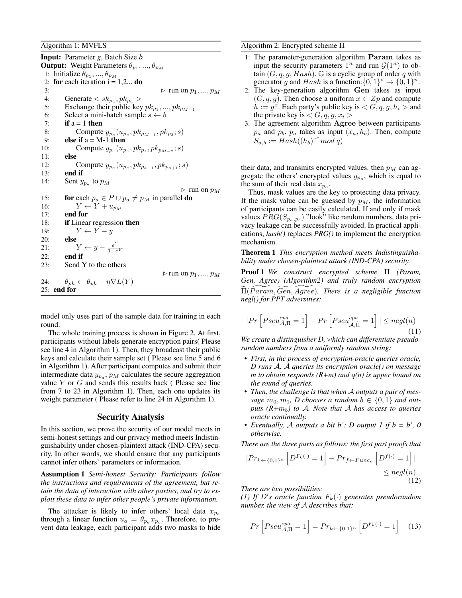Algorithm 1: MVFLS

Input: Parameter *g*, Batch Size *b* **Output:** Weight Parameters  $\theta_{p_1},...,\theta_{p_M}$ 1: Initialize  $\theta_{p_1}, ..., \theta_{p_M}$ 2: for each iteration  $i = 1, 2...$  do 3:  $\triangleright$  run on  $p_1, ..., p_M$ <br>4: Generate  $\lt s k_{p_2}, p k_{p_2} >$ 4: Generate  $\langle s k_{p_a}, p k_{p_a} \rangle$ 5: Exchange their public key  $pk_{p_1}, ..., pk_{p_{M-1}}$ 6: Select a mini-batch sample  $s \leftarrow b$ 7: if  $a = 1$  then 8: Compute  $y_{p_a}(u_{p_a}, p k_{p_{M-1}}, p k_{p_2}; s)$ 9: **else if**  $a = M-1$  then 10: Compute  $y_{p_a}(u_{p_a}, p k_{p_1}, p k_{p_{M-2}}; s)$ 11: else 12: Compute  $y_{p_a}(u_{p_a},pk_{p_{a-1}},pk_{p_{a+1}}; s)$ 13: end if 14: Sent  $y_{pa}$  to  $p_M$  $\triangleright$  run on  $p_M$ 15: **for** each  $p_a \in P \cup p_a \neq p_M$  in parallel **do** 16:  $Y \leftarrow Y + u_{p_M}$ <br>17: **end for** end for 18: if Linear regression then 19:  $Y \leftarrow Y - y$ 20: else 21:  $Y \leftarrow y - \frac{e^Y}{1 + e^Y}$  $1+e^Y$ 22: end if 23: Send Y to the others  $\triangleright$  run on  $p_1, ..., p_M$ 24:  $\theta_{pk} \leftarrow \theta_{pk} - \eta \nabla L(Y)$ 25: end for

model only uses part of the sample data for training in each round.

The whole training process is shown in Figure 2. At first, participants without labels generate encryption pairs( Please see line 4 in Algorithm 1). Then, they broadcast their public keys and calculate their sample set ( Please see line 5 and 6 in Algorithm 1). After participant computes and submit their intermediate data  $y_{pa}$ ,  $p_M$  calculates the secure aggregation value  $Y$  or  $G$  and sends this results back (Please see line from 7 to 23 in Algorithm 1). Then, each one updates its weight parameter ( Please refer to line 24 in Algorithm 1).

#### Security Analysis

In this section, we prove the security of our model meets in semi-honest settings and our privacy method meets Indistinguishability under chosen-plaintext attack (IND-CPA) security. In other words, we should ensure that any participants cannot infer others' parameters or information.

Assumption 1 *Semi-honest Security: Participants follow the instructions and requirements of the agreement, but retain the data of interaction with other parties, and try to exploit these data to infer other people's private information.*

The attacker is likely to infer others' local data  $x_{p_a}$ through a linear function  $u_a = \theta_{p_a} x_{p_a}$ . Therefore, to prevent data leakage, each participant adds two masks to hide Algorithm 2: Encrypted scheme Π

- 1: The parameter-generation algorithm Param takes as input the security parameters  $1^n$  and run  $\mathcal{G}(1^n)$  to obtain  $(G, q, g, Hash)$ . G is a cyclic group of order q with generator g and  $Hash$  is a function:  $\{0,1\}^* \rightarrow \{0,1\}^n$ .
- 2: The key-generation algorithm Gen takes as input  $(G, q, g)$ . Then choose a uniform  $x \in Zp$  and compute  $h := g^x$ . Each party's public key is  $\langle G, q, g, h_i \rangle$  and the private key is  $\langle G, q, g, x_i \rangle$
- 3: The agreement algorithm Agree between participants  $p_a$  and  $p_b$ .  $p_a$  takes as input  $(x_a, h_b)$ . Then, compute  $S_{a,b} := Hash((h_b)^{x^a}mod\ q)$

their data, and transmits encrypted values. then  $p_M$  can aggregate the others' encrypted values  $y_{p_a}$ , which is equal to the sum of their real data  $x_{pa}$ .

Thus, mask values are the key to protecting data privacy. If the mask value can be guessed by  $p<sub>M</sub>$ , the information of participants can be easily calculated. If and only if mask values  $PRG(S_{p_a, p_b})$  "look" like random numbers, data privacy leakage can be successfully avoided. In practical applications, *hash()* replaces *PRG()* to implement the encryption mechanism.

Theorem 1 *This encryption method meets Indistinguishability under chosen-plaintext attack (IND-CPA) security.*

Proof 1 *We construct encrypted scheme* Π *(Param, Gen, Agree) (Algorithm2) and truly random encryption*  $\Pi (Param, Gen, Agree)$ *. There is a negligible function negl() for PPT adversities:*

$$
|Pr\left[Pseu_{\mathcal{A},\Pi}^{cpa} = 1\right] - Pr\left[Pseu_{\mathcal{A},\widetilde{\Pi}}^{cpa} = 1\right]| \leq negl(n)
$$
\n(11)

*We create a distinguisher D, which can differentiate pseudorandom numbers from a uniformly random string:*

- *First, in the process of encryption-oracle queries oracle, D runs* A*,* A *queries its encryption oracle() on message m to obtain responds (R+m) and q(n) is upper bound on the round of queries.*
- *Then, the challenge is that when* A *outputs a pair of mes*sage  $m_0, m_1$ , D chooses a random  $b \in \{0, 1\}$  and out*puts (R+*mb*) to* A*. Note that* A *has access to queries oracle continually.*
- *Eventually,* A *outputs a bit b': D output 1 if b = b', 0 otherwise.*

*There are the three parts as follows: the first part proofs that*

$$
|Pr_{k \leftarrow \{0,1\}^n} \left[ D^{F_k(\cdot)} = 1 \right] - Pr_{f \leftarrow Func_n} \left[ D^{f(\cdot)} = 1 \right] |
$$
  
\$\leq negl(n)\$ (12)

*There are two possibilities:*

*(1)* If  $D's$  oracle function  $F_k(\cdot)$  generates pseudorandom *number, the view of* A *describes that:*

$$
Pr\left[Pseu_{\mathcal{A},\Pi}^{cpa} = 1\right] = Pr_{k \leftarrow \{0,1\}^n} \left[D^{F_k(\cdot)} = 1\right] \quad (13)
$$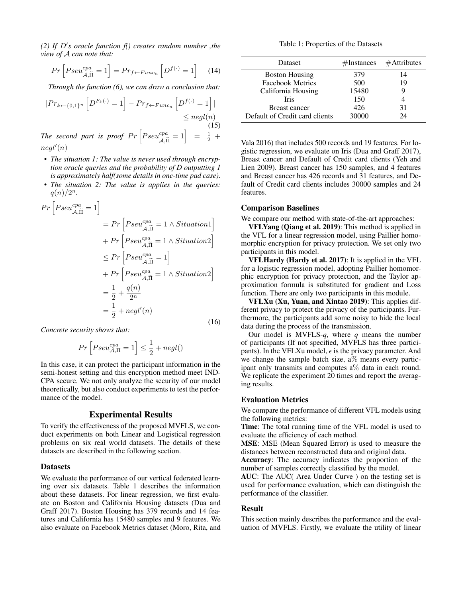$(2)$  If  $D's$  oracle function  $f()$  creates random number, the *view of* A *can note that:*

$$
Pr\left[Pseu_{\mathcal{A},\widetilde{\Pi}}^{cpa} = 1\right] = Pr_{f \leftarrow Func_n} \left[D^{f(\cdot)} = 1\right] \tag{14}
$$

*Through the function (6), we can draw a conclusion that:*

$$
|Pr_{k \leftarrow \{0,1\}^n} \left[ D^{F_k(\cdot)} = 1 \right] - Pr_{f \leftarrow Func_n} \left[ D^{f(\cdot)} = 1 \right] |
$$
  
\n
$$
\leq negl(n)
$$
  
\nThe second part is proof  $Pr \left[ Pseu_{\mathcal{A}, \widetilde{\Pi}}^{cpa} = 1 \right] = \frac{1}{2} +$ 

 $negl'(n)$ 

- *The situation 1: The value is never used through encryption oracle queries and the probability of D outputting 1 is approximately half(some details in one-time pad case).*
- *The situation 2: The value is applies in the queries:*  $q(n)/2^n$ .

$$
Pr\left[Pseu_{\mathcal{A},\widetilde{\Pi}}^{cpa} = 1\right]
$$
  
=  $Pr\left[Pseu_{\mathcal{A},\widetilde{\Pi}}^{cpa} = 1 \land Situation1\right]$   
+  $Pr\left[Pseu_{\mathcal{A},\widetilde{\Pi}}^{cpa} = 1 \land Situation2\right]$   
 $\leq Pr\left[Pseu_{\mathcal{A},\widetilde{\Pi}}^{cpa} = 1\right]$   
+  $Pr\left[Pseu_{\mathcal{A},\widetilde{\Pi}}^{cpa} = 1 \land Situation2\right]$   
=  $\frac{1}{2} + \frac{q(n)}{2^n}$   
=  $\frac{1}{2} + negl'(n)$  (16)

*Concrete security shows that:*

$$
Pr\left[Pseu_{\mathcal{A},\Pi}^{cpa}=1\right]\leq\frac{1}{2}+negl()
$$

In this case, it can protect the participant information in the semi-honest setting and this encryption method meet IND-CPA secure. We not only analyze the security of our model theoretically, but also conduct experiments to test the performance of the model.

## Experimental Results

To verify the effectiveness of the proposed MVFLS, we conduct experiments on both Linear and Logistical regression problems on six real world datasets. The details of these datasets are described in the following section.

#### **Datasets**

We evaluate the performance of our vertical federated learning over six datasets. Table 1 describes the information about these datasets. For linear regression, we first evaluate on Boston and California Housing datasets (Dua and Graff 2017). Boston Housing has 379 records and 14 features and California has 15480 samples and 9 features. We also evaluate on Facebook Metrics dataset (Moro, Rita, and

Table 1: Properties of the Datasets

| <b>Dataset</b>                 | #Instances | $#$ Attributes |
|--------------------------------|------------|----------------|
| <b>Boston Housing</b>          | 379        | 14             |
| <b>Facebook Metrics</b>        | 500        | 19             |
| California Housing             | 15480      |                |
| <b>Tris</b>                    | 150        |                |
| Breast cancer                  | 426        | 31             |
| Default of Credit card clients | 30000      | 24             |

Vala 2016) that includes 500 records and 19 features. For logistic regression, we evaluate on Iris (Dua and Graff 2017), Breast cancer and Default of Credit card clients (Yeh and Lien 2009). Breast cancer has 150 samples, and 4 features and Breast cancer has 426 records and 31 features, and Default of Credit card clients includes 30000 samples and 24 features.

# Comparison Baselines

We compare our method with state-of-the-art approaches:

VFLYang (Qiang et al. 2019): This method is applied in the VFL for a linear regression model, using Paillier homomorphic encryption for privacy protection. We set only two participants in this model.

VFLHardy (Hardy et al. 2017): It is applied in the VFL for a logistic regression model, adopting Paillier homomorphic encryption for privacy protection, and the Taylor approximation formula is substituted for gradient and Loss function. There are only two participants in this module.

VFLXu (Xu, Yuan, and Xintao 2019): This applies different privacy to protect the privacy of the participants. Furthermore, the participants add some noisy to hide the local data during the process of the transmission.

Our model is MVFLS-*q*, where *q* means the number of participants (If not specified, MVFLS has three participants). In the VFLXu model,  $\epsilon$  is the privacy parameter. And we change the sample batch size,  $a\%$  means every participant only transmits and computes  $a\%$  data in each round. We replicate the experiment 20 times and report the averaging results.

#### Evaluation Metrics

We compare the performance of different VFL models using the following metrics:

Time: The total running time of the VFL model is used to evaluate the efficiency of each method.

MSE: MSE (Mean Squared Error) is used to measure the distances between reconstructed data and original data.

Accuracy: The accuracy indicates the proportion of the number of samples correctly classified by the model.

AUC: The AUC( Area Under Curve ) on the testing set is used for performance evaluation, which can distinguish the performance of the classifier.

### Result

This section mainly describes the performance and the evaluation of MVFLS. Firstly, we evaluate the utility of linear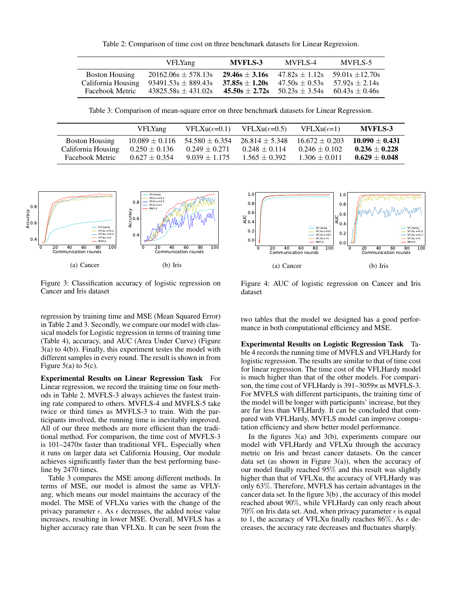Table 2: Comparison of time cost on three benchmark datasets for Linear Regression.

|                       | <b>VFLYang</b>          | <b>MVFLS-3</b>     | MVFLS-4          | MVFLS-5           |
|-----------------------|-------------------------|--------------------|------------------|-------------------|
| <b>Boston Housing</b> | $20162.06s \pm 578.13s$ | $29.46s + 3.16s$   | $47.82s + 1.12s$ | $59.01s + 12.70s$ |
| California Housing    | $93491.53s \pm 889.43s$ | $37.85s \pm 1.20s$ | $47.50s + 0.53s$ | $57.92s + 2.14s$  |
| Facebook Metric       | $43825.58s + 431.02s$   | $45.50s + 2.72s$   | $50.23s + 3.54s$ | $60.43s + 0.46s$  |

Table 3: Comparison of mean-square error on three benchmark datasets for Linear Regression.

|                        | <b>VFLYang</b>     | $VFLXu(\epsilon=0.1)$ | $VFLXu(\epsilon=0.5)$ | $VFLXu(\epsilon=1)$ | <b>MVFLS-3</b>    |
|------------------------|--------------------|-----------------------|-----------------------|---------------------|-------------------|
| <b>Boston Housing</b>  | $10.089 \pm 0.116$ | $54.580 + 6.354$      | $26.814 + 5.348$      | $16.672 + 0.203$    | $10.090 + 0.431$  |
| California Housing     | $0.250 \pm 0.136$  | $0.249 \pm 0.271$     | $0.248 \pm 0.114$     | $0.246 \pm 0.102$   | $0.236 \pm 0.228$ |
| <b>Facebook Metric</b> | $0.627 \pm 0.354$  | $9.039 + 1.175$       | $1.565 + 0.392$       | $1.306 + 0.011$     | $0.629 \pm 0.048$ |





Figure 3: Classification accuracy of logistic regression on Cancer and Iris dataset

Figure 4: AUC of logistic regression on Cancer and Iris dataset

regression by training time and MSE (Mean Squared Error) in Table 2 and 3. Secondly, we compare our model with classical models for Logistic regression in terms of training time (Table 4), accuracy, and AUC (Area Under Curve) (Figure 3(a) to 4(b)). Finally, this experiment testes the model with different samples in every round. The result is shown in from Figure  $5(a)$  to  $5(c)$ .

Experimental Results on Linear Regression Task For Linear regression, we record the training time on four methods in Table 2. MVFLS-3 always achieves the fastest training rate compared to others. MVFLS-4 and MVFLS-5 take twice or third times as MVFLS-3 to train. With the participants involved, the running time is inevitably improved. All of our three methods are more efficient than the traditional method. For comparison, the time cost of MVFLS-3 is 101–2470× faster than traditional VFL. Especially when it runs on larger data set California Housing, Our module achieves significantly faster than the best performing baseline by 2470 times.

Table 3 compares the MSE among different methods. In terms of MSE, our model is almost the same as VFLYang, which means our model maintains the accuracy of the model. The MSE of VFLXu varies with the change of the privacy parameter  $\epsilon$ . As  $\epsilon$  decreases, the added noise value increases, resulting in lower MSE. Overall, MVFLS has a higher accuracy rate than VFLXu. It can be seen from the two tables that the model we designed has a good performance in both computational efficiency and MSE.

Experimental Results on Logistic Regression Task Table 4 records the running time of MVFLS and VFLHardy for logistic regression. The results are similar to that of time cost for linear regression. The time cost of the VFLHardy model is much higher than that of the other models. For comparison, the time cost of VFLHardy is 391–3059× as MVFLS-3. For MVFLS with different participants, the training time of the model will be longer with participants' increase, but they are far less than VFLHardy. It can be concluded that compared with VFLHardy, MVFLS model can improve computation efficiency and show better model performance.

In the figures  $3(a)$  and  $3(b)$ , experiments compare our model with VFLHardy and VFLXu through the accuracy metric on Iris and breast cancer datasets. On the cancer data set (as shown in Figure 3(a)), when the accuracy of our model finally reached 95% and this result was slightly higher than that of VFLXu, the accuracy of VFLHardy was only 63%. Therefore, MVFLS has certain advantages in the cancer data set. In the figure 3(b) , the accuracy of this model reached about 90%, while VFLHardy can only reach about 70% on Iris data set. And, when privacy parameter  $\epsilon$  is equal to 1, the accuracy of VFLXu finally reaches 86%. As  $\epsilon$  decreases, the accuracy rate decreases and fluctuates sharply.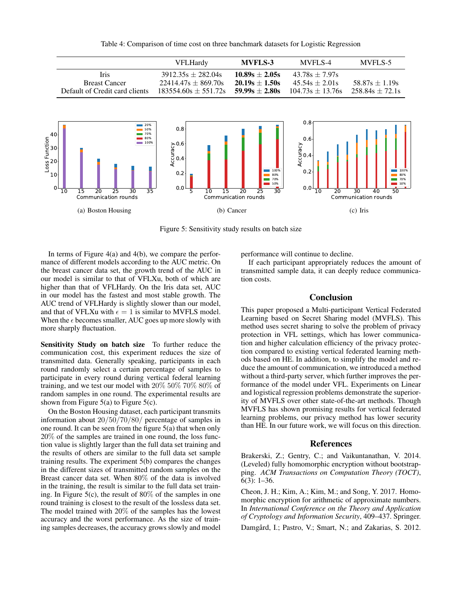Table 4: Comparison of time cost on three banchmark datasets for Logistic Regression

|                                                     | <b>VFLHardy</b>                  | <b>MVFLS-3</b>     | MVFLS-4                  | MVFLS-5             |
|-----------------------------------------------------|----------------------------------|--------------------|--------------------------|---------------------|
| Iris                                                | $3912.35s \pm 282.04s$           | $10.89s \pm 2.05s$ | $43.78s + 7.97s$         |                     |
| <b>Breast Cancer</b>                                | $22414.47s \pm 869.70s$          | $20.19s + 1.50s$   | $45.54s \pm 2.01s$       | $58.87s \pm 1.19s$  |
| Default of Credit card clients                      | $183554.60s \pm 551.72s$         | $59.99s + 2.80s$   | $104.73s \pm 13.76s$     | $258.84s \pm 72.1s$ |
| 20%<br>50%<br>ا40<br>70%<br>80%<br>100%<br>30ł<br>÷ | $0.8 -$<br>$\sum_{n=0}^{\infty}$ |                    | $0.8 -$<br>$0.6 -$<br>ζù |                     |



Figure 5: Sensitivity study results on batch size

In terms of Figure  $4(a)$  and  $4(b)$ , we compare the performance of different models according to the AUC metric. On the breast cancer data set, the growth trend of the AUC in our model is similar to that of VFLXu, both of which are higher than that of VFLHardy. On the Iris data set, AUC in our model has the fastest and most stable growth. The AUC trend of VFLHardy is slightly slower than our model, and that of VFLXu with  $\epsilon = 1$  is similar to MVFLS model. When the  $\epsilon$  becomes smaller, AUC goes up more slowly with more sharply fluctuation.

Sensitivity Study on batch size To further reduce the communication cost, this experiment reduces the size of transmitted data. Generally speaking, participants in each round randomly select a certain percentage of samples to participate in every round during vertical federal learning training, and we test our model with 20% 50% 70% 80% of random samples in one round. The experimental results are shown from Figure  $5(a)$  to Figure  $5(c)$ .

On the Boston Housing dataset, each participant transmits information about 20/50/70/80/ percentage of samples in one round. It can be seen from the figure 5(a) that when only 20% of the samples are trained in one round, the loss function value is slightly larger than the full data set training and the results of others are similar to the full data set sample training results. The experiment 5(b) compares the changes in the different sizes of transmitted random samples on the Breast cancer data set. When 80% of the data is involved in the training, the result is similar to the full data set training. In Figure 5(c), the result of 80% of the samples in one round training is closest to the result of the lossless data set. The model trained with 20% of the samples has the lowest accuracy and the worst performance. As the size of training samples decreases, the accuracy grows slowly and model

performance will continue to decline.

If each participant appropriately reduces the amount of transmitted sample data, it can deeply reduce communication costs.

#### Conclusion

This paper proposed a Multi-participant Vertical Federated Learning based on Secret Sharing model (MVFLS). This method uses secret sharing to solve the problem of privacy protection in VFL settings, which has lower communication and higher calculation efficiency of the privacy protection compared to existing vertical federated learning methods based on HE. In addition, to simplify the model and reduce the amount of communication, we introduced a method without a third-party server, which further improves the performance of the model under VFL. Experiments on Linear and logistical regression problems demonstrate the superiority of MVFLS over other state-of-the-art methods. Though MVFLS has shown promising results for vertical federated learning problems, our privacy method has lower security than HE. In our future work, we will focus on this direction.

# References

Brakerski, Z.; Gentry, C.; and Vaikuntanathan, V. 2014. (Leveled) fully homomorphic encryption without bootstrapping. *ACM Transactions on Computation Theory (TOCT)*, 6(3): 1–36.

Cheon, J. H.; Kim, A.; Kim, M.; and Song, Y. 2017. Homomorphic encryption for arithmetic of approximate numbers. In *International Conference on the Theory and Application of Cryptology and Information Security*, 409–437. Springer.

Damgård, I.; Pastro, V.; Smart, N.; and Zakarias, S. 2012.